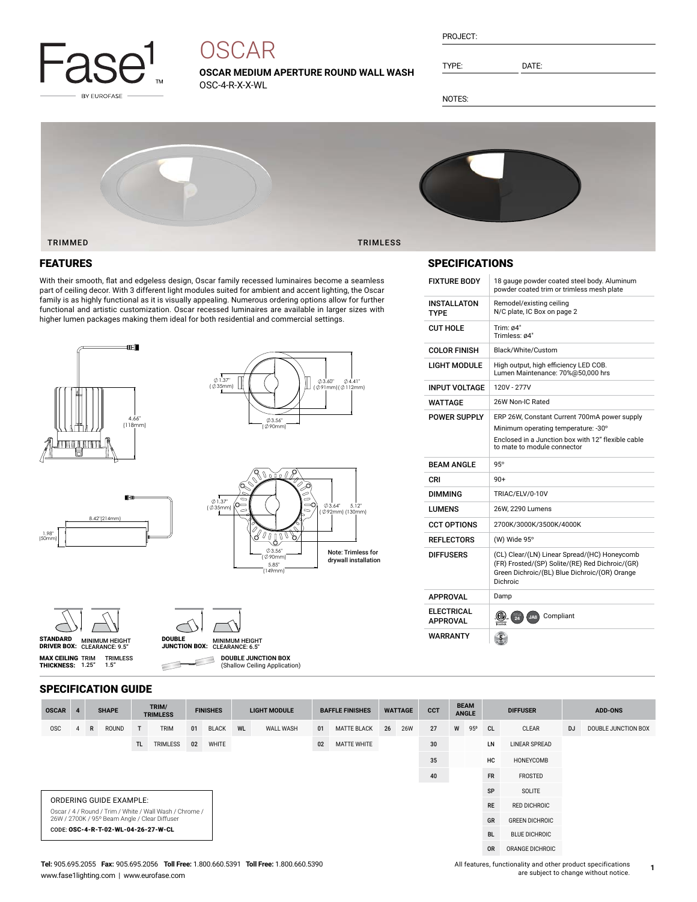

# **OSCAR**

**OSCAR MEDIUM APERTURE ROUND WALL WASH** OSC-4-R-X-X-WL

PROJECT:

TYPE: DATE:

NOTES:



### FEATURES

With their smooth, flat and edgeless design, Oscar family recessed luminaires become a seamless part of ceiling decor. With 3 different light modules suited for ambient and accent lighting, the Oscar family is as highly functional as it is visually appealing. Numerous ordering options allow for further functional and artistic customization. Oscar recessed luminaires are available in larger sizes with higher lumen packages making them ideal for both residential and commercial settings.



 $8.2"$ (214mm)







**MAX CEILING** TRIM<br>**THICKNESS:** 1.25"

1.98" (50mm)



**DOUBLE JUNCTION BOX** Е

(Shallow Ceiling Application)

#### SPECIFICATION GUIDE

TRIMLESS 1.5"

 $\subset$ 

| <b>OSCAR</b>                                                                                             | $\overline{4}$ | <b>SHAPE</b> |       | TRIM/<br><b>TRIMLESS</b> |             | <b>FINISHES</b> |              | <b>LIGHT MODULE</b> |           | <b>BAFFLE FINISHES</b> |                    | <b>WATTAGE</b> |            | <b>CCT</b> | <b>BEAM</b><br><b>ANGLE</b> |           | <b>DIFFUSER</b>      |                       | <b>ADD-ONS</b> |                     |
|----------------------------------------------------------------------------------------------------------|----------------|--------------|-------|--------------------------|-------------|-----------------|--------------|---------------------|-----------|------------------------|--------------------|----------------|------------|------------|-----------------------------|-----------|----------------------|-----------------------|----------------|---------------------|
| <b>OSC</b>                                                                                               | 4              | $\mathsf{R}$ | ROUND | T                        | <b>TRIM</b> | 01              | <b>BLACK</b> | WL                  | WALL WASH | 01                     | <b>MATTE BLACK</b> | 26             | <b>26W</b> | 27         | W                           | 95°       | <sub>CL</sub>        | CLEAR                 | <b>DJ</b>      | DOUBLE JUNCTION BOX |
|                                                                                                          |                |              |       | TL.                      | TRIMLESS    | 02              | WHITE        |                     |           | 02                     | <b>MATTE WHITE</b> |                |            | 30         |                             |           | LN                   | <b>LINEAR SPREAD</b>  |                |                     |
|                                                                                                          |                |              |       |                          |             |                 |              |                     |           |                        |                    |                |            | 35         |                             |           | HC                   | HONEYCOMB             |                |                     |
|                                                                                                          |                |              |       |                          |             |                 |              |                     |           |                        |                    |                |            | 40         |                             |           | <b>FR</b>            | FROSTED               |                |                     |
|                                                                                                          |                |              |       |                          |             |                 |              |                     |           |                        |                    | <b>SP</b>      | SOLITE     |            |                             |           |                      |                       |                |                     |
| <b>ORDERING GUIDE EXAMPLE:</b>                                                                           |                |              |       |                          |             |                 |              |                     |           |                        |                    |                |            |            |                             | <b>RE</b> | <b>RED DICHROIC</b>  |                       |                |                     |
| Oscar / 4 / Round / Trim / White / Wall Wash / Chrome /<br>26W / 2700K / 95° Beam Angle / Clear Diffuser |                |              |       |                          |             |                 |              |                     |           |                        |                    |                |            |            |                             |           | GR                   | <b>GREEN DICHROIC</b> |                |                     |
| CODE: OSC-4-R-T-02-WL-04-26-27-W-CL                                                                      |                |              |       |                          |             |                 |              |                     |           |                        |                    |                |            |            |                             | <b>BL</b> | <b>BLUE DICHROIC</b> |                       |                |                     |
|                                                                                                          |                |              |       |                          |             |                 |              |                     |           |                        |                    |                |            |            |                             |           | <b>OR</b>            | ORANGE DICHROIC       |                |                     |

5.12" (130mm)

#### SPECIFICATIONS

| <b>FIXTURE BODY</b>                  | 18 gauge powder coated steel body. Aluminum<br>powder coated trim or trimless mesh plate                                                                     |
|--------------------------------------|--------------------------------------------------------------------------------------------------------------------------------------------------------------|
| INSTALLATON<br><b>TYPF</b>           | Remodel/existing ceiling<br>N/C plate, IC Box on page 2                                                                                                      |
| <b>CUT HOLE</b>                      | Trim: $64"$<br>Trimless: ø4"                                                                                                                                 |
| <b>COLOR FINISH</b>                  | Black/White/Custom                                                                                                                                           |
| LIGHT MODULE                         | High output, high efficiency LED COB.<br>Lumen Maintenance: 70%@50,000 hrs                                                                                   |
| <b>INPUT VOLTAGE</b>                 | 120V - 277V                                                                                                                                                  |
| WATTAGE                              | 26W Non-IC Rated                                                                                                                                             |
| <b>POWER SUPPLY</b>                  | ERP 26W, Constant Current 700mA power supply                                                                                                                 |
|                                      | Minimum operating temperature: -30°                                                                                                                          |
|                                      | Enclosed in a Junction box with 12" flexible cable<br>to mate to module connector                                                                            |
| <b>BEAM ANGLE</b>                    | $95^\circ$                                                                                                                                                   |
| CRI                                  | $90+$                                                                                                                                                        |
| <b>DIMMING</b>                       | TRIAC/ELV/0-10V                                                                                                                                              |
| LUMENS                               | 26W, 2290 Lumens                                                                                                                                             |
| <b>CCT OPTIONS</b>                   | 2700K/3000K/3500K/4000K                                                                                                                                      |
| <b>REFLECTORS</b>                    | (W) Wide 95°                                                                                                                                                 |
| <b>DIFFUSERS</b>                     | (CL) Clear/(LN) Linear Spread/(HC) Honeycomb<br>(FR) Frosted/(SP) Solite/(RE) Red Dichroic/(GR)<br>Green Dichroic/(BL) Blue Dichroic/(OR) Orange<br>Dichroic |
| <b>APPROVAL</b>                      | Damp                                                                                                                                                         |
| <b>ELECTRICAL</b><br><b>APPROVAL</b> | (CD)<br>Compliant<br>$\frac{1}{24}$<br>JAB                                                                                                                   |
| WARRANTY                             |                                                                                                                                                              |

**1**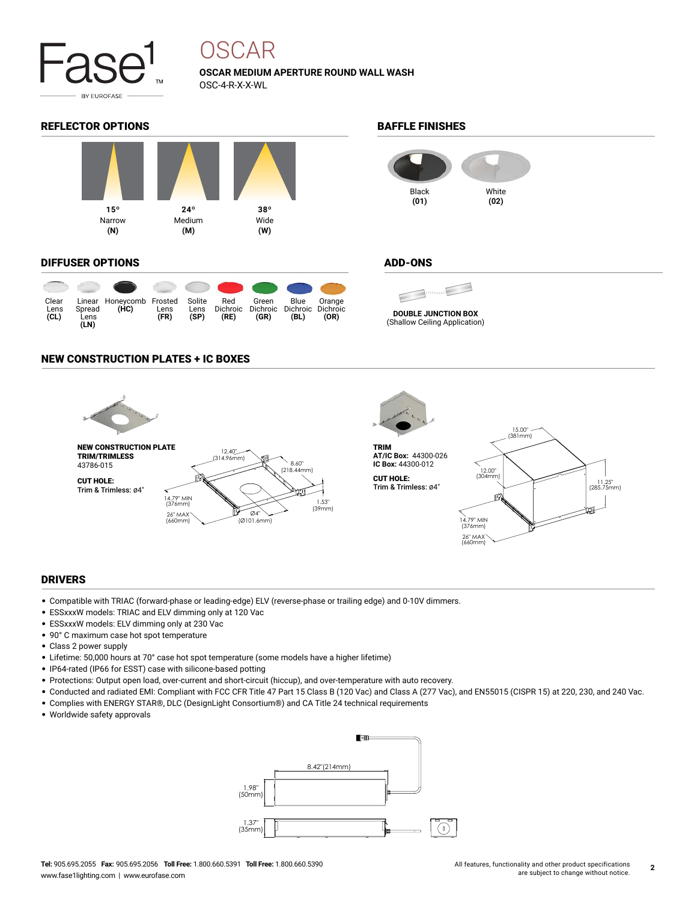

## OSCAR

### **OSCAR MEDIUM APERTURE ROUND WALL WASH** OSC-4-R-X-X-WL

#### REFLECTOR OPTIONS **BAFFLE FINISHES**



#### DIFFUSER OPTIONS

|                       |                        |                                  |              |                        |                         | OUT OF THE OUT            |                                   |                |
|-----------------------|------------------------|----------------------------------|--------------|------------------------|-------------------------|---------------------------|-----------------------------------|----------------|
| Clear<br>Lens<br>(CL) | Spread<br>Lens<br>(LN) | Linear Honeycomb Frosted<br>(HC) | Lens<br>(FR) | Solite<br>Lens<br>(SP) | Red<br>Dichroic<br>(RE) | Green<br>Dichroic<br>(GR) | Blue<br>Dichroic Dichroic<br>(BL) | Orange<br>(OR) |



#### ADD-ONS

€  $\blacksquare$ **DOUBLE JUNCTION BOX** (Shallow Ceiling Application)

### NEW CONSTRUCTION PLATES + IC BOXES



#### DRIVERS

- Compatible with TRIAC (forward-phase or leading-edge) ELV (reverse-phase or trailing edge) and 0-10V dimmers.
- ESSxxxW models: TRIAC and ELV dimming only at 120 Vac
- ESSxxxW models: ELV dimming only at 230 Vac
- 90° C maximum case hot spot temperature
- Class 2 power supply
- Lifetime: 50,000 hours at 70° case hot spot temperature (some models have a higher lifetime)
- IP64-rated (IP66 for ESST) case with silicone-based potting
- Protections: Output open load, over-current and short-circuit (hiccup), and over-temperature with auto recovery.
- Conducted and radiated EMI: Compliant with FCC CFR Title 47 Part 15 Class B (120 Vac) and Class A (277 Vac), and EN55015 (CISPR 15) at 220, 230, and 240 Vac.
- Complies with ENERGY STAR®, DLC (DesignLight Consortium®) and CA Title 24 technical requirements
- Worldwide safety approvals